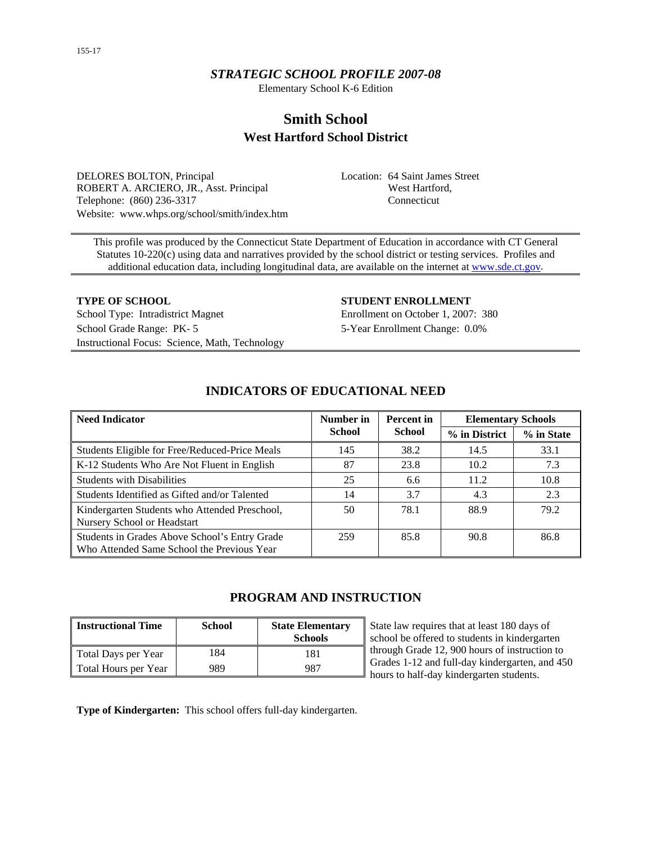## *STRATEGIC SCHOOL PROFILE 2007-08*

Elementary School K-6 Edition

# **Smith School West Hartford School District**

DELORES BOLTON, Principal ROBERT A. ARCIERO, JR., Asst. Principal Telephone: (860) 236-3317 Website: www.whps.org/school/smith/index.htm Location: 64 Saint James Street West Hartford, Connecticut

This profile was produced by the Connecticut State Department of Education in accordance with CT General Statutes 10-220(c) using data and narratives provided by the school district or testing services. Profiles and additional education data, including longitudinal data, are available on the internet at [www.sde.ct.gov.](http://www.sde.ct.gov/)

School Type: Intradistrict Magnet Enrollment on October 1, 2007: 380 School Grade Range: PK- 5 5-Year Enrollment Change: 0.0% Instructional Focus: Science, Math, Technology

## **TYPE OF SCHOOL STUDENT ENROLLMENT**

| <b>Need Indicator</b>                                                                       | Number in     | <b>Percent</b> in | <b>Elementary Schools</b> |            |
|---------------------------------------------------------------------------------------------|---------------|-------------------|---------------------------|------------|
|                                                                                             | <b>School</b> | <b>School</b>     | % in District             | % in State |
| Students Eligible for Free/Reduced-Price Meals                                              | 145           | 38.2              | 14.5                      | 33.1       |
| K-12 Students Who Are Not Fluent in English                                                 | 87            | 23.8              | 10.2                      | 7.3        |
| <b>Students with Disabilities</b>                                                           | 25            | 6.6               | 11.2                      | 10.8       |
| Students Identified as Gifted and/or Talented                                               | 14            | 3.7               | 4.3                       | 2.3        |
| Kindergarten Students who Attended Preschool,<br>Nursery School or Headstart                | 50            | 78.1              | 88.9                      | 79.2       |
| Students in Grades Above School's Entry Grade<br>Who Attended Same School the Previous Year | 259           | 85.8              | 90.8                      | 86.8       |

## **INDICATORS OF EDUCATIONAL NEED**

## **PROGRAM AND INSTRUCTION**

| <b>Instructional Time</b> | <b>School</b> | <b>State Elementary</b><br><b>Schools</b> |
|---------------------------|---------------|-------------------------------------------|
| Total Days per Year       | 184           | 181                                       |
| Total Hours per Year      | 989           | 987                                       |

State law requires that at least 180 days of school be offered to students in kindergarten through Grade 12, 900 hours of instruction to Grades 1-12 and full-day kindergarten, and 450 hours to half-day kindergarten students.

**Type of Kindergarten:** This school offers full-day kindergarten.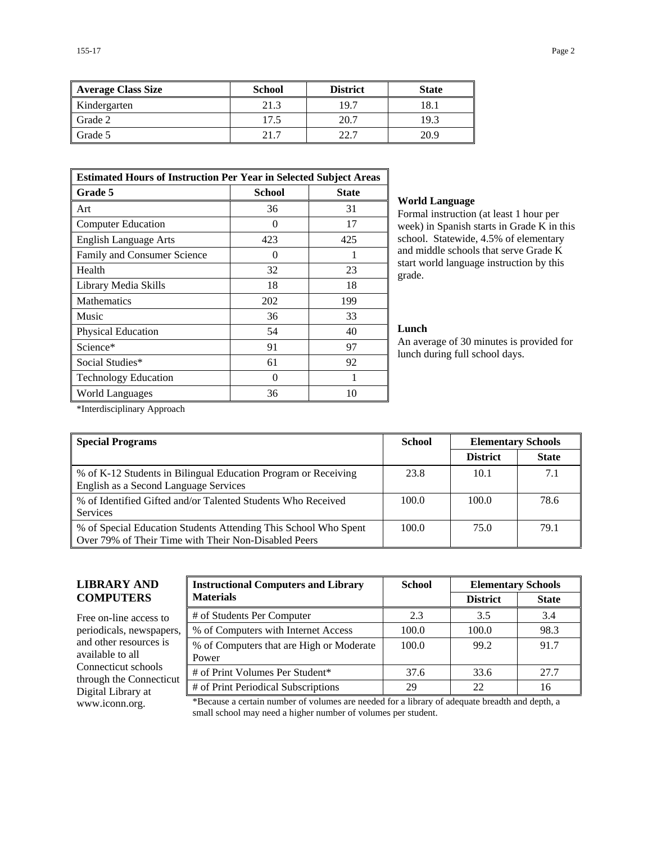| Average Class Size | <b>School</b> | <b>District</b> | <b>State</b> |
|--------------------|---------------|-----------------|--------------|
| Kindergarten       | 21.3          | 19.7            | 18.1         |
| Grade 2            | 17.5          | 20.7            | 19.3         |
| Grade 5            | 21.7          | 22.7            | 20.9         |

| <b>Estimated Hours of Instruction Per Year in Selected Subject Areas</b> |                   |              |  |  |  |
|--------------------------------------------------------------------------|-------------------|--------------|--|--|--|
| Grade 5                                                                  | School            | <b>State</b> |  |  |  |
| Art                                                                      | 36                | 31           |  |  |  |
| <b>Computer Education</b>                                                | $\mathbf{\Omega}$ | 17           |  |  |  |
| <b>English Language Arts</b>                                             | 423               | 425          |  |  |  |
| Family and Consumer Science                                              | $\theta$          | 1            |  |  |  |
| Health                                                                   | 32                | 23           |  |  |  |
| Library Media Skills                                                     | 18                | 18           |  |  |  |
| <b>Mathematics</b>                                                       | 202               | 199          |  |  |  |
| Music                                                                    | 36                | 33           |  |  |  |
| Physical Education                                                       | 54                | 40           |  |  |  |
| Science*                                                                 | 91                | 97           |  |  |  |
| Social Studies*                                                          | 61                | 92           |  |  |  |
| <b>Technology Education</b>                                              | 0                 | 1            |  |  |  |
| World Languages                                                          | 36                | 10           |  |  |  |

#### **World Language**

Formal instruction (at least 1 hour per week) in Spanish starts in Grade K in this school. Statewide, 4.5% of elementary and middle schools that serve Grade K start world language instruction by this grade.

### **Lunch**

An average of 30 minutes is provided for lunch during full school days.

\*Interdisciplinary Approach

| <b>Special Programs</b>                                                                                                 | <b>School</b> | <b>Elementary Schools</b> |              |
|-------------------------------------------------------------------------------------------------------------------------|---------------|---------------------------|--------------|
|                                                                                                                         |               | <b>District</b>           | <b>State</b> |
| % of K-12 Students in Bilingual Education Program or Receiving<br>English as a Second Language Services                 | 23.8          | 10.1                      | 7.1          |
| % of Identified Gifted and/or Talented Students Who Received<br><b>Services</b>                                         | 100.0         | 100.0                     | 78.6         |
| % of Special Education Students Attending This School Who Spent<br>Over 79% of Their Time with Their Non-Disabled Peers | 100.0         | 75.0                      | 79.1         |

## **LIBRARY AND COMPUTERS**

Free on-line access to periodicals, newspapers, and other resources is available to all Connecticut schools through the Connecticut Digital Library at

| <b>Instructional Computers and Library</b>        | <b>School</b> | <b>Elementary Schools</b> |              |  |
|---------------------------------------------------|---------------|---------------------------|--------------|--|
| <b>Materials</b>                                  |               | <b>District</b>           | <b>State</b> |  |
| # of Students Per Computer                        | 2.3           | 3.5                       | 3.4          |  |
| % of Computers with Internet Access               | 100.0         | 100.0                     | 98.3         |  |
| % of Computers that are High or Moderate<br>Power | 100.0         | 99.2                      | 91.7         |  |
| # of Print Volumes Per Student*                   | 37.6          | 33.6                      | 27.7         |  |
| # of Print Periodical Subscriptions               | 29            | 22                        | 16           |  |

www.iconn.org. \*Because a certain number of volumes are needed for a library of adequate breadth and depth, a small school may need a higher number of volumes per student.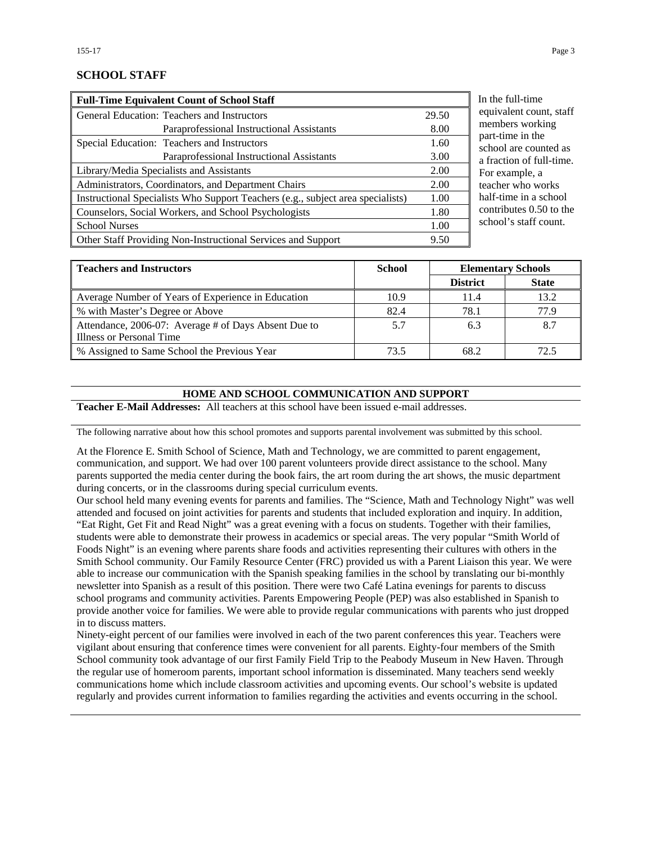## **SCHOOL STAFF**

| <b>Full-Time Equivalent Count of School Staff</b>                               |       |
|---------------------------------------------------------------------------------|-------|
| General Education: Teachers and Instructors                                     | 29.50 |
| Paraprofessional Instructional Assistants                                       | 8.00  |
| Special Education: Teachers and Instructors                                     | 1.60  |
| Paraprofessional Instructional Assistants                                       | 3.00  |
| Library/Media Specialists and Assistants                                        | 2.00  |
| Administrators, Coordinators, and Department Chairs                             | 2.00  |
| Instructional Specialists Who Support Teachers (e.g., subject area specialists) | 1.00  |
| Counselors, Social Workers, and School Psychologists                            | 1.80  |
| <b>School Nurses</b>                                                            | 1.00  |
| Other Staff Providing Non-Instructional Services and Support                    | 9.50  |

the full-time uivalent count, staff members working rt-time in the nool are counted as raction of full-time. r example, a cher who works lf-time in a school ntributes  $0.50$  to the nool's staff count.

| <b>Teachers and Instructors</b>                      | <b>School</b> |                 | <b>Elementary Schools</b> |  |
|------------------------------------------------------|---------------|-----------------|---------------------------|--|
|                                                      |               | <b>District</b> | <b>State</b>              |  |
| Average Number of Years of Experience in Education   | 10.9          | 11.4            | 13.2                      |  |
| % with Master's Degree or Above                      | 82.4          | 78.1            | 77.9                      |  |
| Attendance, 2006-07: Average # of Days Absent Due to | 5.7           | 6.3             | 8.7                       |  |
| Illness or Personal Time                             |               |                 |                           |  |
| % Assigned to Same School the Previous Year          | 73.5          | 68.2            | 72.5                      |  |

#### **HOME AND SCHOOL COMMUNICATION AND SUPPORT**

**Teacher E-Mail Addresses:** All teachers at this school have been issued e-mail addresses.

The following narrative about how this school promotes and supports parental involvement was submitted by this school.

At the Florence E. Smith School of Science, Math and Technology, we are committed to parent engagement, communication, and support. We had over 100 parent volunteers provide direct assistance to the school. Many parents supported the media center during the book fairs, the art room during the art shows, the music department during concerts, or in the classrooms during special curriculum events.

Our school held many evening events for parents and families. The "Science, Math and Technology Night" was well attended and focused on joint activities for parents and students that included exploration and inquiry. In addition, "Eat Right, Get Fit and Read Night" was a great evening with a focus on students. Together with their families, students were able to demonstrate their prowess in academics or special areas. The very popular "Smith World of Foods Night" is an evening where parents share foods and activities representing their cultures with others in the Smith School community. Our Family Resource Center (FRC) provided us with a Parent Liaison this year. We were able to increase our communication with the Spanish speaking families in the school by translating our bi-monthly newsletter into Spanish as a result of this position. There were two Café Latina evenings for parents to discuss school programs and community activities. Parents Empowering People (PEP) was also established in Spanish to provide another voice for families. We were able to provide regular communications with parents who just dropped in to discuss matters.

Ninety-eight percent of our families were involved in each of the two parent conferences this year. Teachers were vigilant about ensuring that conference times were convenient for all parents. Eighty-four members of the Smith School community took advantage of our first Family Field Trip to the Peabody Museum in New Haven. Through the regular use of homeroom parents, important school information is disseminated. Many teachers send weekly communications home which include classroom activities and upcoming events. Our school's website is updated regularly and provides current information to families regarding the activities and events occurring in the school.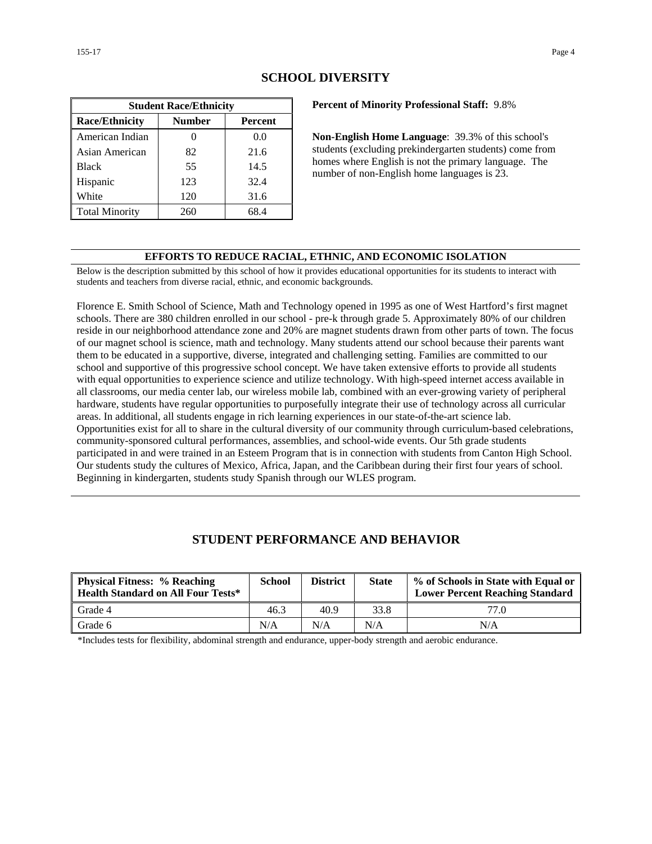| <b>Student Race/Ethnicity</b>              |     |      |  |  |  |
|--------------------------------------------|-----|------|--|--|--|
| <b>Race/Ethnicity</b><br>Number<br>Percent |     |      |  |  |  |
| American Indian                            |     | 0.0  |  |  |  |
| Asian American                             | 82  | 21.6 |  |  |  |
| <b>Black</b>                               | 55  | 14.5 |  |  |  |
| Hispanic                                   | 123 | 32.4 |  |  |  |
| White                                      | 120 | 31.6 |  |  |  |
| <b>Total Minority</b>                      | 260 | 68.4 |  |  |  |

## **SCHOOL DIVERSITY**

**Percent of Minority Professional Staff:** 9.8%

**Non-English Home Language**: 39.3% of this school's students (excluding prekindergarten students) come from homes where English is not the primary language. The number of non-English home languages is 23.

#### **EFFORTS TO REDUCE RACIAL, ETHNIC, AND ECONOMIC ISOLATION**

Below is the description submitted by this school of how it provides educational opportunities for its students to interact with students and teachers from diverse racial, ethnic, and economic backgrounds.

Florence E. Smith School of Science, Math and Technology opened in 1995 as one of West Hartford's first magnet schools. There are 380 children enrolled in our school - pre-k through grade 5. Approximately 80% of our children reside in our neighborhood attendance zone and 20% are magnet students drawn from other parts of town. The focus of our magnet school is science, math and technology. Many students attend our school because their parents want them to be educated in a supportive, diverse, integrated and challenging setting. Families are committed to our school and supportive of this progressive school concept. We have taken extensive efforts to provide all students with equal opportunities to experience science and utilize technology. With high-speed internet access available in all classrooms, our media center lab, our wireless mobile lab, combined with an ever-growing variety of peripheral hardware, students have regular opportunities to purposefully integrate their use of technology across all curricular areas. In additional, all students engage in rich learning experiences in our state-of-the-art science lab. Opportunities exist for all to share in the cultural diversity of our community through curriculum-based celebrations, community-sponsored cultural performances, assemblies, and school-wide events. Our 5th grade students participated in and were trained in an Esteem Program that is in connection with students from Canton High School. Our students study the cultures of Mexico, Africa, Japan, and the Caribbean during their first four years of school. Beginning in kindergarten, students study Spanish through our WLES program.

## **STUDENT PERFORMANCE AND BEHAVIOR**

| <b>Physical Fitness: % Reaching</b><br><b>Health Standard on All Four Tests*</b> | <b>School</b> | <b>District</b> | <b>State</b> | % of Schools in State with Equal or<br><b>Lower Percent Reaching Standard</b> |
|----------------------------------------------------------------------------------|---------------|-----------------|--------------|-------------------------------------------------------------------------------|
| Grade 4                                                                          | 46.3          | 40.9            | 33.8         | 77.0                                                                          |
| Grade 6                                                                          | N/A           | N/A             | N/A          | N/A                                                                           |

\*Includes tests for flexibility, abdominal strength and endurance, upper-body strength and aerobic endurance.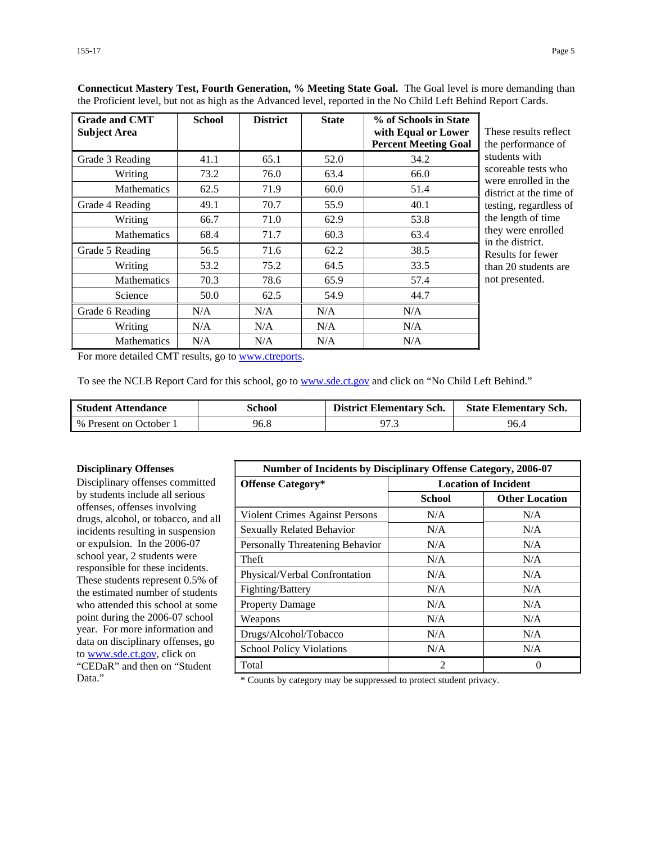| <b>Grade and CMT</b><br><b>Subject Area</b> | <b>School</b> | <b>District</b> | <b>State</b> | % of Schools in State<br>with Equal or Lower<br><b>Percent Meeting Goal</b> | These results reflect<br>the performance of |
|---------------------------------------------|---------------|-----------------|--------------|-----------------------------------------------------------------------------|---------------------------------------------|
| Grade 3 Reading                             | 41.1          | 65.1            | 52.0         | 34.2                                                                        | students with                               |
| Writing                                     | 73.2          | 76.0            | 63.4         | 66.0                                                                        | scoreable tests who<br>were enrolled in the |
| <b>Mathematics</b>                          | 62.5          | 71.9            | 60.0         | 51.4                                                                        | district at the time of                     |
| Grade 4 Reading                             | 49.1          | 70.7            | 55.9         | 40.1                                                                        | testing, regardless of                      |
| Writing                                     | 66.7          | 71.0            | 62.9         | 53.8                                                                        | the length of time                          |
| <b>Mathematics</b>                          | 68.4          | 71.7            | 60.3         | 63.4                                                                        | they were enrolled<br>in the district.      |
| Grade 5 Reading                             | 56.5          | 71.6            | 62.2         | 38.5                                                                        | Results for fewer                           |
| Writing                                     | 53.2          | 75.2            | 64.5         | 33.5                                                                        | than 20 students are                        |
| <b>Mathematics</b>                          | 70.3          | 78.6            | 65.9         | 57.4                                                                        | not presented.                              |
| Science                                     | 50.0          | 62.5            | 54.9         | 44.7                                                                        |                                             |
| Grade 6 Reading                             | N/A           | N/A             | N/A          | N/A                                                                         |                                             |
| Writing                                     | N/A           | N/A             | N/A          | N/A                                                                         |                                             |
| <b>Mathematics</b>                          | N/A           | N/A             | N/A          | N/A                                                                         |                                             |

**Connecticut Mastery Test, Fourth Generation, % Meeting State Goal.** The Goal level is more demanding than the Proficient level, but not as high as the Advanced level, reported in the No Child Left Behind Report Cards.

For more detailed CMT results, go to [www.ctreports.](http://www.ctreports/)

To see the NCLB Report Card for this school, go to [www.sde.ct.gov](http://www.sde.ct.gov/) and click on "No Child Left Behind."

| <b>Student Attendance</b> | School | <b>District Elementary Sch.</b> | <b>State Elementary Sch.</b> |
|---------------------------|--------|---------------------------------|------------------------------|
| % Present on October 1    | 96.8   | 97.3                            | 96.4                         |

#### **Disciplinary Offenses**

Disciplinary offenses committed by students include all serious offenses, offenses involving drugs, alcohol, or tobacco, and all incidents resulting in suspension or expulsion. In the 2006-07 school year, 2 students were responsible for these incidents. These students represent 0.5% of the estimated number of students who attended this school at some point during the 2006-07 school year. For more information and data on disciplinary offenses, go to [www.sde.ct.gov](http://www.sde.ct.gov/), click on "CEDaR" and then on "Student

| <b>Number of Incidents by Disciplinary Offense Category, 2006-07</b> |                             |                       |
|----------------------------------------------------------------------|-----------------------------|-----------------------|
| <b>Offense Category*</b>                                             | <b>Location of Incident</b> |                       |
|                                                                      | <b>School</b>               | <b>Other Location</b> |
| <b>Violent Crimes Against Persons</b>                                | N/A                         | N/A                   |
| <b>Sexually Related Behavior</b>                                     | N/A                         | N/A                   |
| Personally Threatening Behavior                                      | N/A                         | N/A                   |
| Theft                                                                | N/A                         | N/A                   |
| Physical/Verbal Confrontation                                        | N/A                         | N/A                   |
| Fighting/Battery                                                     | N/A                         | N/A                   |
| <b>Property Damage</b>                                               | N/A                         | N/A                   |
| Weapons                                                              | N/A                         | N/A                   |
| Drugs/Alcohol/Tobacco                                                | N/A                         | N/A                   |
| <b>School Policy Violations</b>                                      | N/A                         | N/A                   |
| Total                                                                | 2                           | 0                     |

Data." \* Counts by category may be suppressed to protect student privacy.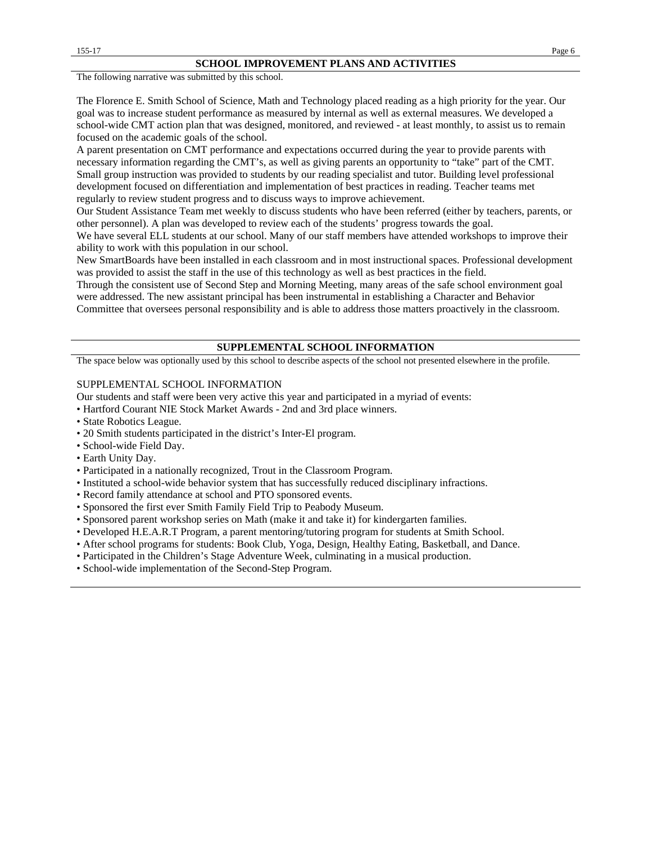#### **SCHOOL IMPROVEMENT PLANS AND ACTIVITIES**

The following narrative was submitted by this school.

The Florence E. Smith School of Science, Math and Technology placed reading as a high priority for the year. Our goal was to increase student performance as measured by internal as well as external measures. We developed a school-wide CMT action plan that was designed, monitored, and reviewed - at least monthly, to assist us to remain focused on the academic goals of the school.

A parent presentation on CMT performance and expectations occurred during the year to provide parents with necessary information regarding the CMT's, as well as giving parents an opportunity to "take" part of the CMT. Small group instruction was provided to students by our reading specialist and tutor. Building level professional development focused on differentiation and implementation of best practices in reading. Teacher teams met regularly to review student progress and to discuss ways to improve achievement.

Our Student Assistance Team met weekly to discuss students who have been referred (either by teachers, parents, or other personnel). A plan was developed to review each of the students' progress towards the goal.

We have several ELL students at our school. Many of our staff members have attended workshops to improve their ability to work with this population in our school.

New SmartBoards have been installed in each classroom and in most instructional spaces. Professional development was provided to assist the staff in the use of this technology as well as best practices in the field.

Through the consistent use of Second Step and Morning Meeting, many areas of the safe school environment goal were addressed. The new assistant principal has been instrumental in establishing a Character and Behavior Committee that oversees personal responsibility and is able to address those matters proactively in the classroom.

#### **SUPPLEMENTAL SCHOOL INFORMATION**

The space below was optionally used by this school to describe aspects of the school not presented elsewhere in the profile.

#### SUPPLEMENTAL SCHOOL INFORMATION

Our students and staff were been very active this year and participated in a myriad of events:

- Hartford Courant NIE Stock Market Awards 2nd and 3rd place winners.
- State Robotics League.
- 20 Smith students participated in the district's Inter-El program.
- School-wide Field Day.
- Earth Unity Day.
- Participated in a nationally recognized, Trout in the Classroom Program.
- Instituted a school-wide behavior system that has successfully reduced disciplinary infractions.
- Record family attendance at school and PTO sponsored events.
- Sponsored the first ever Smith Family Field Trip to Peabody Museum.
- Sponsored parent workshop series on Math (make it and take it) for kindergarten families.
- Developed H.E.A.R.T Program, a parent mentoring/tutoring program for students at Smith School.
- After school programs for students: Book Club, Yoga, Design, Healthy Eating, Basketball, and Dance.
- Participated in the Children's Stage Adventure Week, culminating in a musical production.
- School-wide implementation of the Second-Step Program.